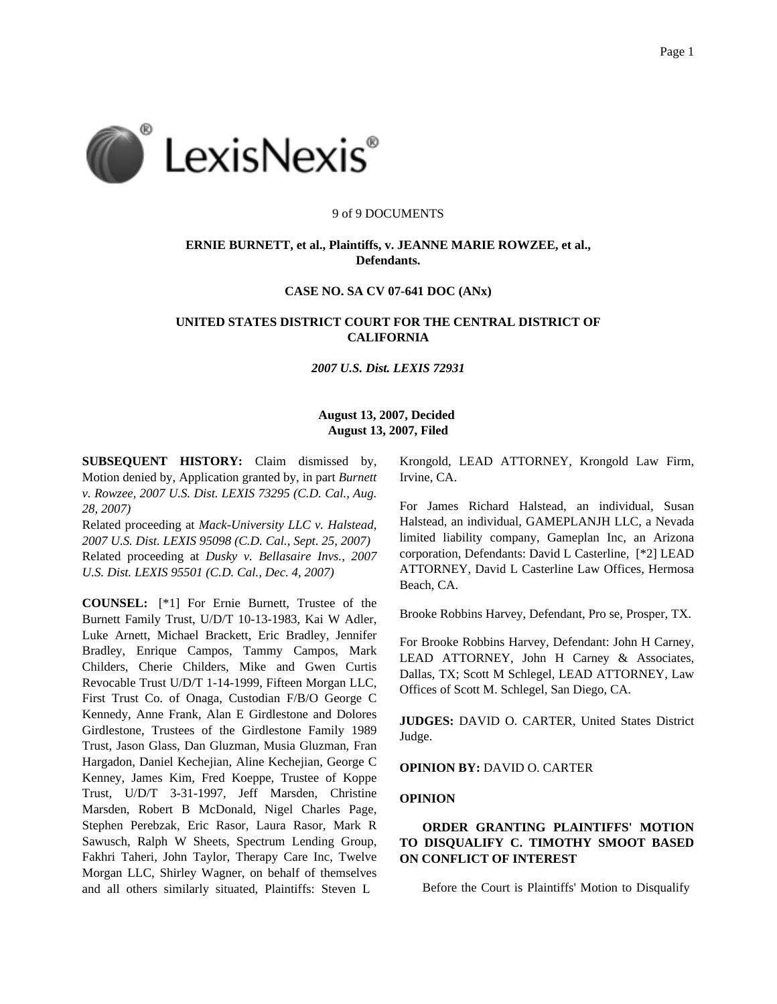

#### 9 of 9 DOCUMENTS

# **ERNIE BURNETT, et al., Plaintiffs, v. JEANNE MARIE ROWZEE, et al., Defendants.**

## **CASE NO. SA CV 07-641 DOC (ANx)**

# **UNITED STATES DISTRICT COURT FOR THE CENTRAL DISTRICT OF CALIFORNIA**

### *2007 U.S. Dist. LEXIS 72931*

## **August 13, 2007, Decided August 13, 2007, Filed**

**SUBSEQUENT HISTORY:** Claim dismissed by, Motion denied by, Application granted by, in part *Burnett v. Rowzee, 2007 U.S. Dist. LEXIS 73295 (C.D. Cal., Aug. 28, 2007)*

Related proceeding at *Mack-University LLC v. Halstead, 2007 U.S. Dist. LEXIS 95098 (C.D. Cal., Sept. 25, 2007)* Related proceeding at *Dusky v. Bellasaire Invs., 2007 U.S. Dist. LEXIS 95501 (C.D. Cal., Dec. 4, 2007)*

**COUNSEL:** [\*1] For Ernie Burnett, Trustee of the Burnett Family Trust, U/D/T 10-13-1983, Kai W Adler, Luke Arnett, Michael Brackett, Eric Bradley, Jennifer Bradley, Enrique Campos, Tammy Campos, Mark Childers, Cherie Childers, Mike and Gwen Curtis Revocable Trust U/D/T 1-14-1999, Fifteen Morgan LLC, First Trust Co. of Onaga, Custodian F/B/O George C Kennedy, Anne Frank, Alan E Girdlestone and Dolores Girdlestone, Trustees of the Girdlestone Family 1989 Trust, Jason Glass, Dan Gluzman, Musia Gluzman, Fran Hargadon, Daniel Kechejian, Aline Kechejian, George C Kenney, James Kim, Fred Koeppe, Trustee of Koppe Trust, U/D/T 3-31-1997, Jeff Marsden, Christine Marsden, Robert B McDonald, Nigel Charles Page, Stephen Perebzak, Eric Rasor, Laura Rasor, Mark R Sawusch, Ralph W Sheets, Spectrum Lending Group, Fakhri Taheri, John Taylor, Therapy Care Inc, Twelve Morgan LLC, Shirley Wagner, on behalf of themselves and all others similarly situated, Plaintiffs: Steven L

Krongold, LEAD ATTORNEY, Krongold Law Firm, Irvine, CA.

For James Richard Halstead, an individual, Susan Halstead, an individual, GAMEPLANJH LLC, a Nevada limited liability company, Gameplan Inc, an Arizona corporation, Defendants: David L Casterline, [\*2] LEAD ATTORNEY, David L Casterline Law Offices, Hermosa Beach, CA.

Brooke Robbins Harvey, Defendant, Pro se, Prosper, TX.

For Brooke Robbins Harvey, Defendant: John H Carney, LEAD ATTORNEY, John H Carney & Associates, Dallas, TX; Scott M Schlegel, LEAD ATTORNEY, Law Offices of Scott M. Schlegel, San Diego, CA.

**JUDGES:** DAVID O. CARTER, United States District Judge.

#### **OPINION BY:** DAVID O. CARTER

#### **OPINION**

# **ORDER GRANTING PLAINTIFFS' MOTION TO DISQUALIFY C. TIMOTHY SMOOT BASED ON CONFLICT OF INTEREST**

Before the Court is Plaintiffs' Motion to Disqualify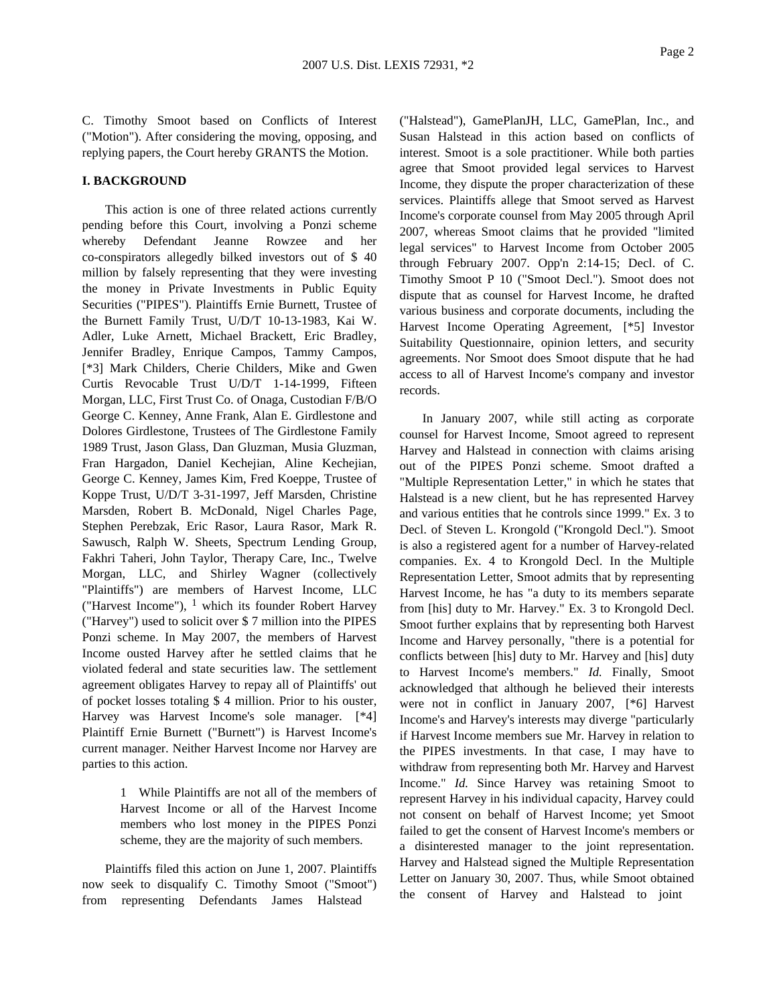C. Timothy Smoot based on Conflicts of Interest ("Motion"). After considering the moving, opposing, and replying papers, the Court hereby GRANTS the Motion.

## **I. BACKGROUND**

This action is one of three related actions currently pending before this Court, involving a Ponzi scheme whereby Defendant Jeanne Rowzee and her co-conspirators allegedly bilked investors out of \$ 40 million by falsely representing that they were investing the money in Private Investments in Public Equity Securities ("PIPES"). Plaintiffs Ernie Burnett, Trustee of the Burnett Family Trust, U/D/T 10-13-1983, Kai W. Adler, Luke Arnett, Michael Brackett, Eric Bradley, Jennifer Bradley, Enrique Campos, Tammy Campos, [\*3] Mark Childers, Cherie Childers, Mike and Gwen Curtis Revocable Trust U/D/T 1-14-1999, Fifteen Morgan, LLC, First Trust Co. of Onaga, Custodian F/B/O George C. Kenney, Anne Frank, Alan E. Girdlestone and Dolores Girdlestone, Trustees of The Girdlestone Family 1989 Trust, Jason Glass, Dan Gluzman, Musia Gluzman, Fran Hargadon, Daniel Kechejian, Aline Kechejian, George C. Kenney, James Kim, Fred Koeppe, Trustee of Koppe Trust, U/D/T 3-31-1997, Jeff Marsden, Christine Marsden, Robert B. McDonald, Nigel Charles Page, Stephen Perebzak, Eric Rasor, Laura Rasor, Mark R. Sawusch, Ralph W. Sheets, Spectrum Lending Group, Fakhri Taheri, John Taylor, Therapy Care, Inc., Twelve Morgan, LLC, and Shirley Wagner (collectively "Plaintiffs") are members of Harvest Income, LLC ("Harvest Income"),  $1$  which its founder Robert Harvey ("Harvey") used to solicit over \$ 7 million into the PIPES Ponzi scheme. In May 2007, the members of Harvest Income ousted Harvey after he settled claims that he violated federal and state securities law. The settlement agreement obligates Harvey to repay all of Plaintiffs' out of pocket losses totaling \$ 4 million. Prior to his ouster, Harvey was Harvest Income's sole manager. [\*4] Plaintiff Ernie Burnett ("Burnett") is Harvest Income's current manager. Neither Harvest Income nor Harvey are parties to this action.

> 1 While Plaintiffs are not all of the members of Harvest Income or all of the Harvest Income members who lost money in the PIPES Ponzi scheme, they are the majority of such members.

Plaintiffs filed this action on June 1, 2007. Plaintiffs now seek to disqualify C. Timothy Smoot ("Smoot") from representing Defendants James Halstead

("Halstead"), GamePlanJH, LLC, GamePlan, Inc., and Susan Halstead in this action based on conflicts of interest. Smoot is a sole practitioner. While both parties agree that Smoot provided legal services to Harvest Income, they dispute the proper characterization of these services. Plaintiffs allege that Smoot served as Harvest Income's corporate counsel from May 2005 through April 2007, whereas Smoot claims that he provided "limited legal services" to Harvest Income from October 2005 through February 2007. Opp'n 2:14-15; Decl. of C. Timothy Smoot P 10 ("Smoot Decl."). Smoot does not dispute that as counsel for Harvest Income, he drafted various business and corporate documents, including the Harvest Income Operating Agreement, [\*5] Investor Suitability Questionnaire, opinion letters, and security agreements. Nor Smoot does Smoot dispute that he had access to all of Harvest Income's company and investor records.

In January 2007, while still acting as corporate counsel for Harvest Income, Smoot agreed to represent Harvey and Halstead in connection with claims arising out of the PIPES Ponzi scheme. Smoot drafted a "Multiple Representation Letter," in which he states that Halstead is a new client, but he has represented Harvey and various entities that he controls since 1999." Ex. 3 to Decl. of Steven L. Krongold ("Krongold Decl."). Smoot is also a registered agent for a number of Harvey-related companies. Ex. 4 to Krongold Decl. In the Multiple Representation Letter, Smoot admits that by representing Harvest Income, he has "a duty to its members separate from [his] duty to Mr. Harvey." Ex. 3 to Krongold Decl. Smoot further explains that by representing both Harvest Income and Harvey personally, "there is a potential for conflicts between [his] duty to Mr. Harvey and [his] duty to Harvest Income's members." *Id.* Finally, Smoot acknowledged that although he believed their interests were not in conflict in January 2007, [\*6] Harvest Income's and Harvey's interests may diverge "particularly if Harvest Income members sue Mr. Harvey in relation to the PIPES investments. In that case, I may have to withdraw from representing both Mr. Harvey and Harvest Income." *Id.* Since Harvey was retaining Smoot to represent Harvey in his individual capacity, Harvey could not consent on behalf of Harvest Income; yet Smoot failed to get the consent of Harvest Income's members or a disinterested manager to the joint representation. Harvey and Halstead signed the Multiple Representation Letter on January 30, 2007. Thus, while Smoot obtained the consent of Harvey and Halstead to joint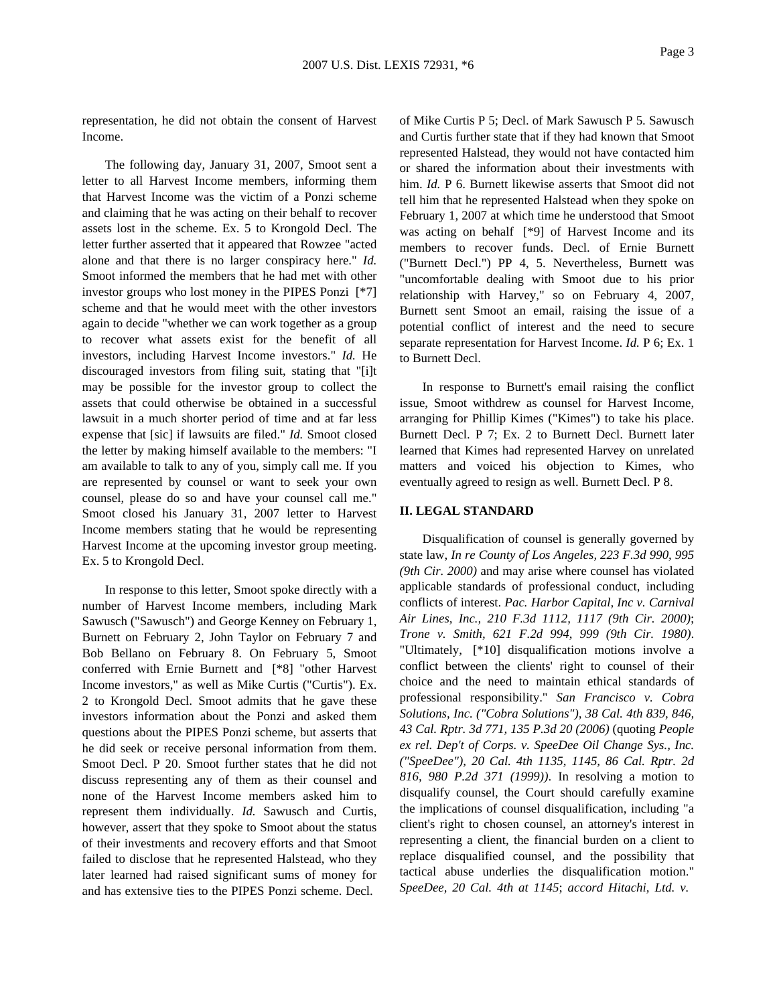representation, he did not obtain the consent of Harvest Income.

The following day, January 31, 2007, Smoot sent a letter to all Harvest Income members, informing them that Harvest Income was the victim of a Ponzi scheme and claiming that he was acting on their behalf to recover assets lost in the scheme. Ex. 5 to Krongold Decl. The letter further asserted that it appeared that Rowzee "acted alone and that there is no larger conspiracy here." *Id.* Smoot informed the members that he had met with other investor groups who lost money in the PIPES Ponzi [\*7] scheme and that he would meet with the other investors again to decide "whether we can work together as a group to recover what assets exist for the benefit of all investors, including Harvest Income investors." *Id.* He discouraged investors from filing suit, stating that "[i]t may be possible for the investor group to collect the assets that could otherwise be obtained in a successful lawsuit in a much shorter period of time and at far less expense that [sic] if lawsuits are filed." *Id.* Smoot closed the letter by making himself available to the members: "I am available to talk to any of you, simply call me. If you are represented by counsel or want to seek your own counsel, please do so and have your counsel call me." Smoot closed his January 31, 2007 letter to Harvest Income members stating that he would be representing Harvest Income at the upcoming investor group meeting. Ex. 5 to Krongold Decl.

In response to this letter, Smoot spoke directly with a number of Harvest Income members, including Mark Sawusch ("Sawusch") and George Kenney on February 1, Burnett on February 2, John Taylor on February 7 and Bob Bellano on February 8. On February 5, Smoot conferred with Ernie Burnett and [\*8] "other Harvest Income investors," as well as Mike Curtis ("Curtis"). Ex. 2 to Krongold Decl. Smoot admits that he gave these investors information about the Ponzi and asked them questions about the PIPES Ponzi scheme, but asserts that he did seek or receive personal information from them. Smoot Decl. P 20. Smoot further states that he did not discuss representing any of them as their counsel and none of the Harvest Income members asked him to represent them individually. *Id.* Sawusch and Curtis, however, assert that they spoke to Smoot about the status of their investments and recovery efforts and that Smoot failed to disclose that he represented Halstead, who they later learned had raised significant sums of money for and has extensive ties to the PIPES Ponzi scheme. Decl.

of Mike Curtis P 5; Decl. of Mark Sawusch P 5. Sawusch and Curtis further state that if they had known that Smoot represented Halstead, they would not have contacted him or shared the information about their investments with him. *Id.* P 6. Burnett likewise asserts that Smoot did not tell him that he represented Halstead when they spoke on February 1, 2007 at which time he understood that Smoot was acting on behalf [\*9] of Harvest Income and its members to recover funds. Decl. of Ernie Burnett ("Burnett Decl.") PP 4, 5. Nevertheless, Burnett was "uncomfortable dealing with Smoot due to his prior relationship with Harvey," so on February 4, 2007, Burnett sent Smoot an email, raising the issue of a potential conflict of interest and the need to secure separate representation for Harvest Income. *Id.* P 6; Ex. 1 to Burnett Decl.

In response to Burnett's email raising the conflict issue, Smoot withdrew as counsel for Harvest Income, arranging for Phillip Kimes ("Kimes") to take his place. Burnett Decl. P 7; Ex. 2 to Burnett Decl. Burnett later learned that Kimes had represented Harvey on unrelated matters and voiced his objection to Kimes, who eventually agreed to resign as well. Burnett Decl. P 8.

### **II. LEGAL STANDARD**

Disqualification of counsel is generally governed by state law, *In re County of Los Angeles, 223 F.3d 990, 995 (9th Cir. 2000)* and may arise where counsel has violated applicable standards of professional conduct, including conflicts of interest. *Pac. Harbor Capital, Inc v. Carnival Air Lines, Inc., 210 F.3d 1112, 1117 (9th Cir. 2000)*; *Trone v. Smith, 621 F.2d 994, 999 (9th Cir. 1980)*. "Ultimately, [\*10] disqualification motions involve a conflict between the clients' right to counsel of their choice and the need to maintain ethical standards of professional responsibility." *San Francisco v. Cobra Solutions, Inc. ("Cobra Solutions"), 38 Cal. 4th 839, 846, 43 Cal. Rptr. 3d 771, 135 P.3d 20 (2006)* (quoting *People ex rel. Dep't of Corps. v. SpeeDee Oil Change Sys., Inc. ("SpeeDee"), 20 Cal. 4th 1135, 1145, 86 Cal. Rptr. 2d 816, 980 P.2d 371 (1999))*. In resolving a motion to disqualify counsel, the Court should carefully examine the implications of counsel disqualification, including "a client's right to chosen counsel, an attorney's interest in representing a client, the financial burden on a client to replace disqualified counsel, and the possibility that tactical abuse underlies the disqualification motion." *SpeeDee, 20 Cal. 4th at 1145*; *accord Hitachi, Ltd. v.*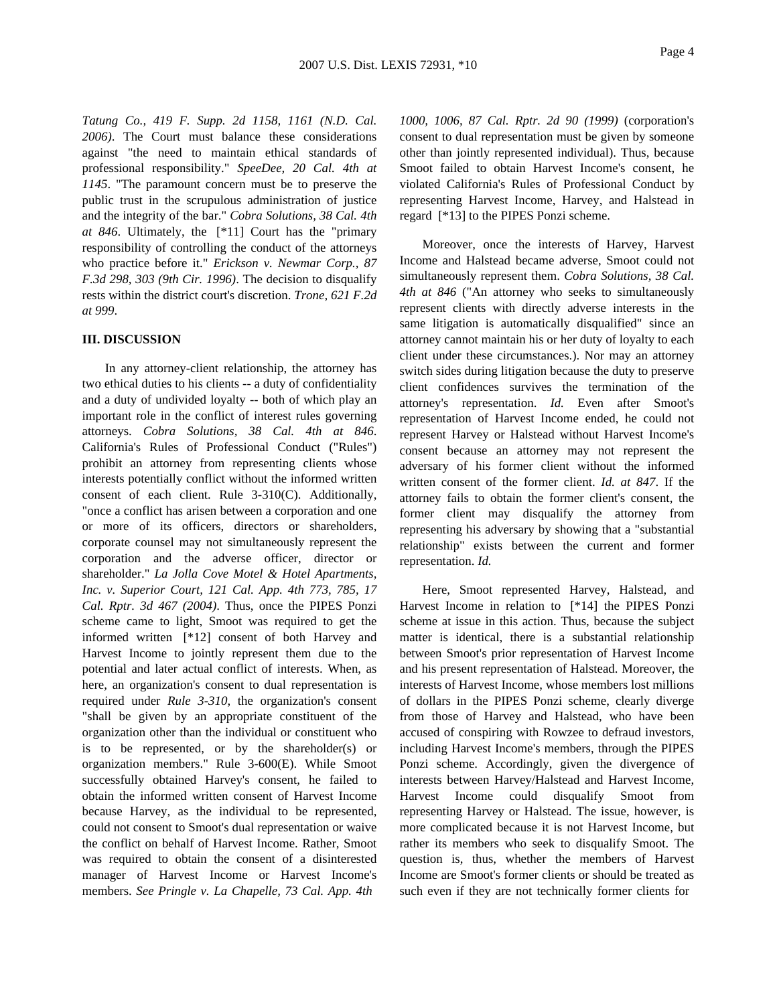*Tatung Co., 419 F. Supp. 2d 1158, 1161 (N.D. Cal. 2006)*. The Court must balance these considerations against "the need to maintain ethical standards of professional responsibility." *SpeeDee, 20 Cal. 4th at 1145*. "The paramount concern must be to preserve the public trust in the scrupulous administration of justice and the integrity of the bar." *Cobra Solutions, 38 Cal. 4th at 846*. Ultimately, the [\*11] Court has the "primary responsibility of controlling the conduct of the attorneys who practice before it." *Erickson v. Newmar Corp., 87 F.3d 298, 303 (9th Cir. 1996)*. The decision to disqualify rests within the district court's discretion. *Trone, 621 F.2d at 999*.

#### **III. DISCUSSION**

In any attorney-client relationship, the attorney has two ethical duties to his clients -- a duty of confidentiality and a duty of undivided loyalty -- both of which play an important role in the conflict of interest rules governing attorneys. *Cobra Solutions, 38 Cal. 4th at 846*. California's Rules of Professional Conduct ("Rules") prohibit an attorney from representing clients whose interests potentially conflict without the informed written consent of each client. Rule 3-310(C). Additionally, "once a conflict has arisen between a corporation and one or more of its officers, directors or shareholders, corporate counsel may not simultaneously represent the corporation and the adverse officer, director or shareholder." *La Jolla Cove Motel & Hotel Apartments, Inc. v. Superior Court, 121 Cal. App. 4th 773, 785, 17 Cal. Rptr. 3d 467 (2004)*. Thus, once the PIPES Ponzi scheme came to light, Smoot was required to get the informed written [\*12] consent of both Harvey and Harvest Income to jointly represent them due to the potential and later actual conflict of interests. When, as here, an organization's consent to dual representation is required under *Rule 3-310*, the organization's consent "shall be given by an appropriate constituent of the organization other than the individual or constituent who is to be represented, or by the shareholder(s) or organization members." Rule 3-600(E). While Smoot successfully obtained Harvey's consent, he failed to obtain the informed written consent of Harvest Income because Harvey, as the individual to be represented, could not consent to Smoot's dual representation or waive the conflict on behalf of Harvest Income. Rather, Smoot was required to obtain the consent of a disinterested manager of Harvest Income or Harvest Income's members. *See Pringle v. La Chapelle, 73 Cal. App. 4th*

*1000, 1006, 87 Cal. Rptr. 2d 90 (1999)* (corporation's consent to dual representation must be given by someone other than jointly represented individual). Thus, because Smoot failed to obtain Harvest Income's consent, he violated California's Rules of Professional Conduct by representing Harvest Income, Harvey, and Halstead in regard [\*13] to the PIPES Ponzi scheme.

Moreover, once the interests of Harvey, Harvest Income and Halstead became adverse, Smoot could not simultaneously represent them. *Cobra Solutions, 38 Cal. 4th at 846* ("An attorney who seeks to simultaneously represent clients with directly adverse interests in the same litigation is automatically disqualified" since an attorney cannot maintain his or her duty of loyalty to each client under these circumstances.). Nor may an attorney switch sides during litigation because the duty to preserve client confidences survives the termination of the attorney's representation. *Id.* Even after Smoot's representation of Harvest Income ended, he could not represent Harvey or Halstead without Harvest Income's consent because an attorney may not represent the adversary of his former client without the informed written consent of the former client. *Id. at 847*. If the attorney fails to obtain the former client's consent, the former client may disqualify the attorney from representing his adversary by showing that a "substantial relationship" exists between the current and former representation. *Id.*

Here, Smoot represented Harvey, Halstead, and Harvest Income in relation to [\*14] the PIPES Ponzi scheme at issue in this action. Thus, because the subject matter is identical, there is a substantial relationship between Smoot's prior representation of Harvest Income and his present representation of Halstead. Moreover, the interests of Harvest Income, whose members lost millions of dollars in the PIPES Ponzi scheme, clearly diverge from those of Harvey and Halstead, who have been accused of conspiring with Rowzee to defraud investors, including Harvest Income's members, through the PIPES Ponzi scheme. Accordingly, given the divergence of interests between Harvey/Halstead and Harvest Income, Harvest Income could disqualify Smoot from representing Harvey or Halstead. The issue, however, is more complicated because it is not Harvest Income, but rather its members who seek to disqualify Smoot. The question is, thus, whether the members of Harvest Income are Smoot's former clients or should be treated as such even if they are not technically former clients for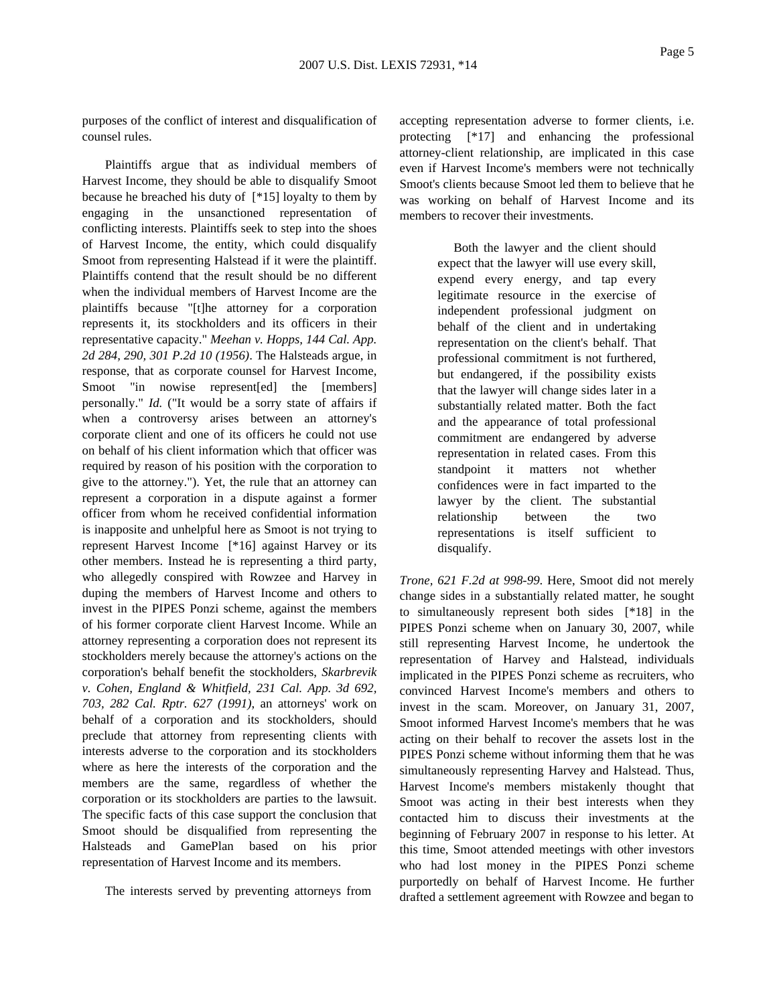purposes of the conflict of interest and disqualification of counsel rules.

Plaintiffs argue that as individual members of Harvest Income, they should be able to disqualify Smoot because he breached his duty of [\*15] loyalty to them by engaging in the unsanctioned representation of conflicting interests. Plaintiffs seek to step into the shoes of Harvest Income, the entity, which could disqualify Smoot from representing Halstead if it were the plaintiff. Plaintiffs contend that the result should be no different when the individual members of Harvest Income are the plaintiffs because "[t]he attorney for a corporation represents it, its stockholders and its officers in their representative capacity." *Meehan v. Hopps, 144 Cal. App. 2d 284, 290, 301 P.2d 10 (1956)*. The Halsteads argue, in response, that as corporate counsel for Harvest Income, Smoot "in nowise represent [ed] the [members] personally." *Id.* ("It would be a sorry state of affairs if when a controversy arises between an attorney's corporate client and one of its officers he could not use on behalf of his client information which that officer was required by reason of his position with the corporation to give to the attorney."). Yet, the rule that an attorney can represent a corporation in a dispute against a former officer from whom he received confidential information is inapposite and unhelpful here as Smoot is not trying to represent Harvest Income [\*16] against Harvey or its other members. Instead he is representing a third party, who allegedly conspired with Rowzee and Harvey in duping the members of Harvest Income and others to invest in the PIPES Ponzi scheme, against the members of his former corporate client Harvest Income. While an attorney representing a corporation does not represent its stockholders merely because the attorney's actions on the corporation's behalf benefit the stockholders, *Skarbrevik v. Cohen, England & Whitfield, 231 Cal. App. 3d 692, 703, 282 Cal. Rptr. 627 (1991)*, an attorneys' work on behalf of a corporation and its stockholders, should preclude that attorney from representing clients with interests adverse to the corporation and its stockholders where as here the interests of the corporation and the members are the same, regardless of whether the corporation or its stockholders are parties to the lawsuit. The specific facts of this case support the conclusion that Smoot should be disqualified from representing the Halsteads and GamePlan based on his prior representation of Harvest Income and its members.

The interests served by preventing attorneys from

accepting representation adverse to former clients, i.e. protecting [\*17] and enhancing the professional attorney-client relationship, are implicated in this case even if Harvest Income's members were not technically Smoot's clients because Smoot led them to believe that he was working on behalf of Harvest Income and its members to recover their investments.

> Both the lawyer and the client should expect that the lawyer will use every skill, expend every energy, and tap every legitimate resource in the exercise of independent professional judgment on behalf of the client and in undertaking representation on the client's behalf. That professional commitment is not furthered, but endangered, if the possibility exists that the lawyer will change sides later in a substantially related matter. Both the fact and the appearance of total professional commitment are endangered by adverse representation in related cases. From this standpoint it matters not whether confidences were in fact imparted to the lawyer by the client. The substantial relationship between the two representations is itself sufficient to disqualify.

*Trone, 621 F.2d at 998-99*. Here, Smoot did not merely change sides in a substantially related matter, he sought to simultaneously represent both sides [\*18] in the PIPES Ponzi scheme when on January 30, 2007, while still representing Harvest Income, he undertook the representation of Harvey and Halstead, individuals implicated in the PIPES Ponzi scheme as recruiters, who convinced Harvest Income's members and others to invest in the scam. Moreover, on January 31, 2007, Smoot informed Harvest Income's members that he was acting on their behalf to recover the assets lost in the PIPES Ponzi scheme without informing them that he was simultaneously representing Harvey and Halstead. Thus, Harvest Income's members mistakenly thought that Smoot was acting in their best interests when they contacted him to discuss their investments at the beginning of February 2007 in response to his letter. At this time, Smoot attended meetings with other investors who had lost money in the PIPES Ponzi scheme purportedly on behalf of Harvest Income. He further drafted a settlement agreement with Rowzee and began to